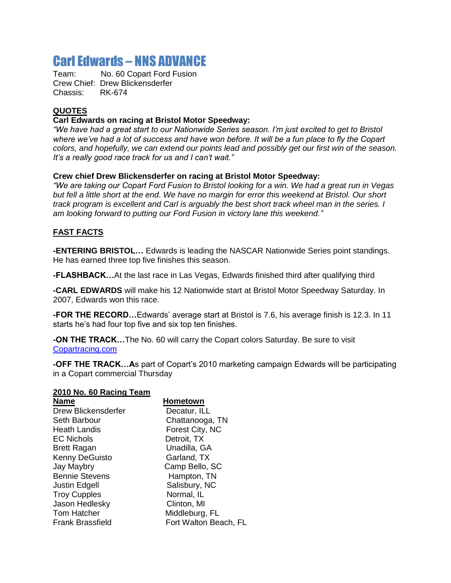# Carl Edwards – NNS ADVANCE

Team: No. 60 Copart Ford Fusion Crew Chief: Drew Blickensderfer Chassis: RK-674

## **QUOTES**

#### **Carl Edwards on racing at Bristol Motor Speedway:**

*"We have had a great start to our Nationwide Series season. I'm just excited to get to Bristol where we've had a lot of success and have won before. It will be a fun place to fly the Copart colors, and hopefully, we can extend our points lead and possibly get our first win of the season. It's a really good race track for us and I can't wait."*

#### **Crew chief Drew Blickensderfer on racing at Bristol Motor Speedway:**

*"We are taking our Copart Ford Fusion to Bristol looking for a win. We had a great run in Vegas but fell a little short at the end. We have no margin for error this weekend at Bristol. Our short track program is excellent and Carl is arguably the best short track wheel man in the series. I am looking forward to putting our Ford Fusion in victory lane this weekend."*

### **FAST FACTS**

**-ENTERING BRISTOL…** Edwards is leading the NASCAR Nationwide Series point standings. He has earned three top five finishes this season.

**-FLASHBACK…**At the last race in Las Vegas, Edwards finished third after qualifying third

**-CARL EDWARDS** will make his 12 Nationwide start at Bristol Motor Speedway Saturday. In 2007, Edwards won this race.

**-FOR THE RECORD…**Edwards' average start at Bristol is 7.6, his average finish is 12.3. In 11 starts he's had four top five and six top ten finishes.

**-ON THE TRACK…**The No. 60 will carry the Copart colors Saturday. Be sure to visit [Copartracing.com](http://copartracing.com/)

**-OFF THE TRACK…A**s part of Copart's 2010 marketing campaign Edwards will be participating in a Copart commercial Thursday

#### **2010 No. 60 Racing Team**

| <b>Name</b>             | <b>Hometown</b>       |
|-------------------------|-----------------------|
| Drew Blickensderfer     | Decatur, ILL          |
| Seth Barbour            | Chattanooga, TN       |
| <b>Heath Landis</b>     | Forest City, NC       |
| <b>EC Nichols</b>       | Detroit, TX           |
| <b>Brett Ragan</b>      | Unadilla, GA          |
| Kenny DeGuisto          | Garland, TX           |
| Jay Maybry              | Camp Bello, SC        |
| <b>Bennie Stevens</b>   | Hampton, TN           |
| <b>Justin Edgell</b>    | Salisbury, NC         |
| <b>Troy Cupples</b>     | Normal, IL            |
| Jason Hedlesky          | Clinton, MI           |
| <b>Tom Hatcher</b>      | Middleburg, FL        |
| <b>Frank Brassfield</b> | Fort Walton Beach, FL |